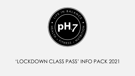## 'LOCKDOWN CLASS PASS' INFO PACK 2021

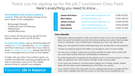## **Thank you for signing up for the pH.7 Lockdown Class Pass!** Here's everything you need to know…

**The timetable for this lockdown period is overleaf.** There are 20 classes running across each week, in four categories:

- Bodyweight Strength
- Cardiovascular Conditioning
- Pilates/Core
- Mobility/Recovery

Each class is 45 minutes long, except for the express classes, which last for 30 mins.

**To access the classes**, text or email the relevant coach (see right), quoting the password below, and they'll send you a Zoom link. If you'd like to book all 4 weeks in advance, please specify this in your message and you'll stay on the register.

To help with your New Year nutrition goals, our nutrition and lifestyle coaching programme will start on Monday. Look out for the weekly seminar times to support your progress.

## Password: **Life In Balance**

| res<br>COOC | <b>James Hutchison</b><br><b>Nick Palma</b><br><b>James Lockyer</b><br><b>Daisy Malin</b> | ph7.lifeinbalance@gmail.com<br>ph7gym@gmail.com<br>james.lockyerph7@gmail.com<br>daisymalin@hotmail.co.uk | 07581457222<br>07947 459155<br>07530 045784<br>07904 367804 |
|-------------|-------------------------------------------------------------------------------------------|-----------------------------------------------------------------------------------------------------------|-------------------------------------------------------------|
| Class       | <b>Paul Ranson</b>                                                                        | paulosranson@hotmail.com                                                                                  | 07947 277229                                                |

## **Class etiquette:**

- Please join classes promptly so they can start on time. If you are running slightly late, the coach will admit you from the virtual waiting room when they are able to do so. However, if you're later than 5 minutes you won't be able to join.
- Keep your microphone muted while exercising, but do feel free to ask questions.
- Choose an exercise space that offers you enough to room to move safely.
- For your own comfort, make sure you have a bottle of water and a towel with you, and wear clothes that are comfortable to exercise in.
- No other equipment is required for the sessions, but if you have access to a foam roller, an exercise mat, and a broom handle, those can be useful.
- If you have any injuries or concerns about taking any of these classes, please liaise with the class coach beforehand so that they can advise.
- If you need to leave the class early for any unexpected reason, just sign off from Zoom when needed and text the coach so that they know everything is ok.